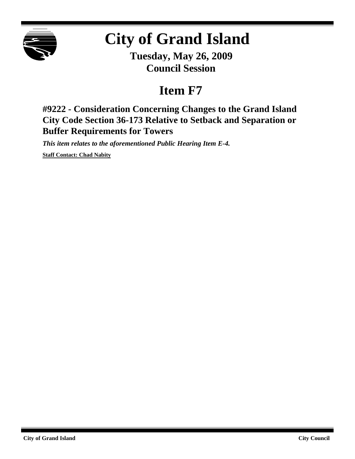

# **City of Grand Island**

**Tuesday, May 26, 2009 Council Session**

# **Item F7**

**#9222 - Consideration Concerning Changes to the Grand Island City Code Section 36-173 Relative to Setback and Separation or Buffer Requirements for Towers**

*This item relates to the aforementioned Public Hearing Item E-4.*

**Staff Contact: Chad Nabity**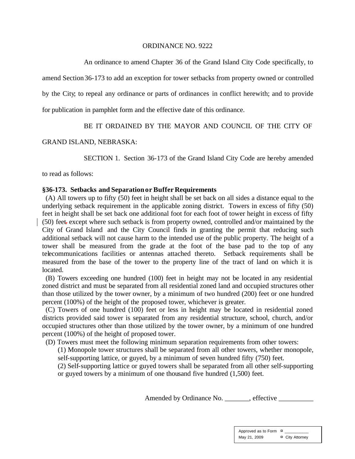#### ORDINANCE NO. 9222

An ordinance to amend Chapter 36 of the Grand Island City Code specifically, to

amend Section 36-173 to add an exception for tower setbacks from property owned or controlled

by the City; to repeal any ordinance or parts of ordinances in conflict herewith; and to provide

for publication in pamphlet form and the effective date of this ordinance.

## BE IT ORDAINED BY THE MAYOR AND COUNCIL OF THE CITY OF

### GRAND ISLAND, NEBRASKA:

SECTION 1. Section 36-173 of the Grand Island City Code are hereby amended

to read as follows:

### **§36-173. Setbacks and Separationor Buffer Requirements**

(A) All towers up to fifty (50) feet in height shall be set back on all sides a distance equal to the underlying setback requirement in the applicable zoning district. Towers in excess of fifty (50) feet in height shall be set back one additional foot for each foot of tower height in excess of fifty (50) feet. except where such setback is from property owned, controlled and/or maintained by the City of Grand Island and the City Council finds in granting the permit that reducing such additional setback will not cause harm to the intended use of the public property. The height of a tower shall be measured from the grade at the foot of the base pad to the top of any telecommunications facilities or antennas attached thereto. Setback requirements shall be measured from the base of the tower to the property line of the tract of land on which it is located.

 (B) Towers exceeding one hundred (100) feet in height may not be located in any residential zoned district and must be separated from all residential zoned land and occupied structures other than those utilized by the tower owner, by a minimum of two hundred (200) feet or one hundred percent (100%) of the height of the proposed tower, whichever is greater.

 (C) Towers of one hundred (100) feet or less in height may be located in residential zoned districts provided said tower is separated from any residential structure, school, church, and/or occupied structures other than those utilized by the tower owner, by a minimum of one hundred percent (100%) of the height of proposed tower.

(D) Towers must meet the following minimum separation requirements from other towers:

(1) Monopole tower structures shall be separated from all other towers, whether monopole, self-supporting lattice, or guyed, by a minimum of seven hundred fifty (750) feet.

(2) Self-supporting lattice or guyed towers shall be separated from all other self-supporting or guyed towers by a minimum of one thousand five hundred (1,500) feet.

Amended by Ordinance No. \_\_\_\_\_\_\_, effective \_\_\_\_\_\_\_\_\_\_